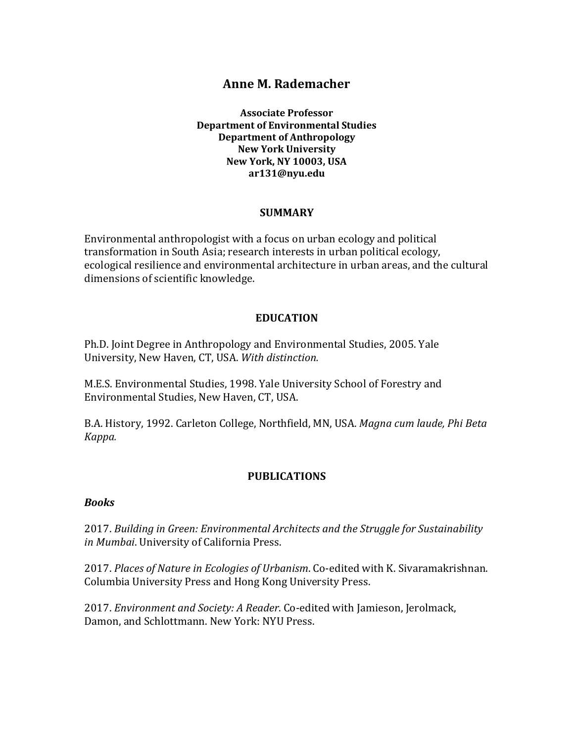# **Anne M. Rademacher**

**Associate Professor Department of Environmental Studies Department of Anthropology New York University New York, NY 10003, USA ar131@nyu.edu**

#### **SUMMARY**

Environmental anthropologist with a focus on urban ecology and political transformation in South Asia; research interests in urban political ecology, ecological resilience and environmental architecture in urban areas, and the cultural dimensions of scientific knowledge.

#### **EDUCATION**

Ph.D. Joint Degree in Anthropology and Environmental Studies, 2005. Yale University, New Haven, CT, USA. With distinction.

M.E.S. Environmental Studies, 1998. Yale University School of Forestry and Environmental Studies, New Haven, CT, USA.

B.A. History, 1992. Carleton College, Northfield, MN, USA. *Magna cum laude, Phi Beta Kappa.*

#### **PUBLICATIONS**

#### *Books*

2017. Building in Green: Environmental Architects and the Struggle for Sustainability in Mumbai. University of California Press.

2017. *Places of Nature in Ecologies of Urbanism*. Co-edited with K. Sivaramakrishnan. Columbia University Press and Hong Kong University Press.

2017. *Environment and Society: A Reader*. Co-edited with Jamieson, Jerolmack, Damon, and Schlottmann. New York: NYU Press.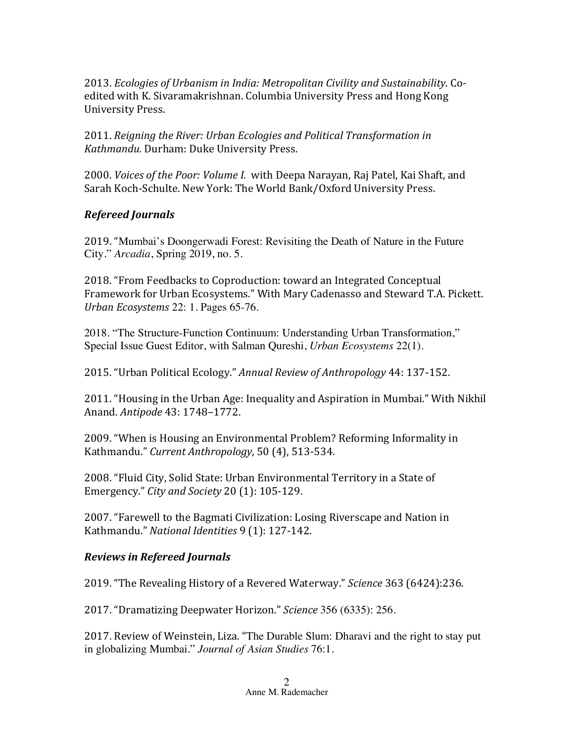2013. *Ecologies of Urbanism in India: Metropolitan Civility and Sustainability*. Coedited with K. Sivaramakrishnan. Columbia University Press and Hong Kong University Press.

2011. *Reigning the River: Urban Ecologies and Political Transformation in* Kathmandu. Durham: Duke University Press.

2000. *Voices of the Poor: Volume I.* with Deepa Narayan, Raj Patel, Kai Shaft, and Sarah Koch-Schulte. New York: The World Bank/Oxford University Press.

## *Refereed Journals*

2019. "Mumbai's Doongerwadi Forest: Revisiting the Death of Nature in the Future City." *Arcadia*, Spring 2019, no. 5.

2018. "From Feedbacks to Coproduction: toward an Integrated Conceptual Framework for Urban Ecosystems." With Mary Cadenasso and Steward T.A. Pickett. *Urban Ecosystems* 22: 1. Pages 65-76.

2018. "The Structure-Function Continuum: Understanding Urban Transformation," Special Issue Guest Editor, with Salman Qureshi, *Urban Ecosystems* 22(1).

2015. "Urban Political Ecology." Annual Review of Anthropology 44: 137-152.

2011. "Housing in the Urban Age: Inequality and Aspiration in Mumbai." With Nikhil Anand. *Antipode* 43: 1748–1772.

2009. "When is Housing an Environmental Problem? Reforming Informality in Kathmandu." Current Anthropology, 50 (4), 513-534.

2008. "Fluid City, Solid State: Urban Environmental Territory in a State of Emergency." *City and Society* 20 (1): 105-129.

2007. "Farewell to the Bagmati Civilization: Losing Riverscape and Nation in Kathmandu." National Identities 9 (1): 127-142.

## *Reviews in Refereed Journals*

2019. "The Revealing History of a Revered Waterway." *Science* 363 (6424):236.

2017. "Dramatizing Deepwater Horizon." *Science* 356 (6335): 256.

2017. Review of Weinstein, Liza. "The Durable Slum: Dharavi and the right to stay put in globalizing Mumbai." *Journal of Asian Studies* 76:1.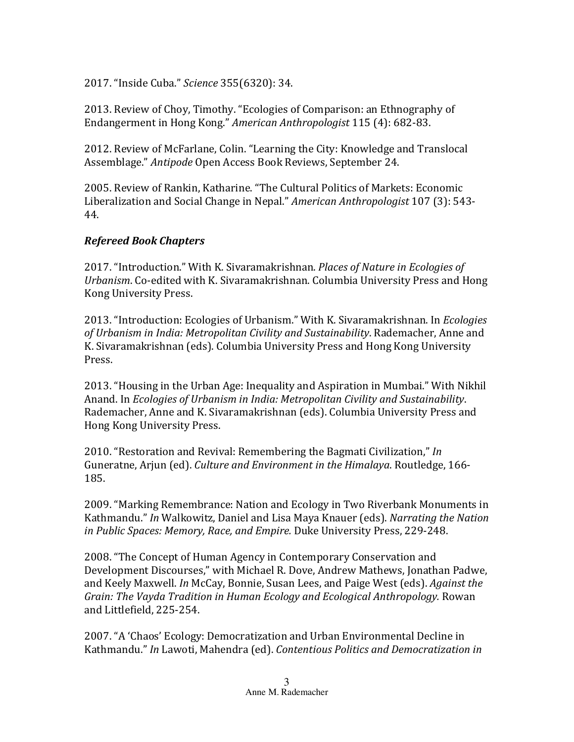2017. "Inside Cuba." *Science* 355(6320): 34.

2013. Review of Choy, Timothy. "Ecologies of Comparison: an Ethnography of Endangerment in Hong Kong." American Anthropologist 115 (4): 682-83.

2012. Review of McFarlane, Colin. "Learning the City: Knowledge and Translocal Assemblage." Antipode Open Access Book Reviews, September 24.

2005. Review of Rankin, Katharine. "The Cultural Politics of Markets: Economic Liberalization and Social Change in Nepal." *American Anthropologist* 107 (3): 543-44.

# *Refereed Book Chapters*

2017. "Introduction." With K. Sivaramakrishnan. *Places of Nature in Ecologies of Urbanism.* Co-edited with K. Sivaramakrishnan. Columbia University Press and Hong Kong University Press.

2013. "Introduction: Ecologies of Urbanism." With K. Sivaramakrishnan. In *Ecologies* of Urbanism in India: Metropolitan Civility and Sustainability. Rademacher, Anne and K. Sivaramakrishnan (eds). Columbia University Press and Hong Kong University Press.

2013. "Housing in the Urban Age: Inequality and Aspiration in Mumbai." With Nikhil Anand. In *Ecologies of Urbanism in India: Metropolitan Civility and Sustainability.* Rademacher, Anne and K. Sivaramakrishnan (eds). Columbia University Press and Hong Kong University Press.

2010. "Restoration and Revival: Remembering the Bagmati Civilization," *In* Guneratne, Arjun (ed). *Culture and Environment in the Himalaya*. Routledge, 166-185.

2009. "Marking Remembrance: Nation and Ecology in Two Riverbank Monuments in Kathmandu." *In* Walkowitz, Daniel and Lisa Maya Knauer (eds). *Narrating the Nation* in Public Spaces: Memory, Race, and Empire. Duke University Press, 229-248.

2008. "The Concept of Human Agency in Contemporary Conservation and Development Discourses," with Michael R. Dove, Andrew Mathews, Jonathan Padwe, and Keely Maxwell. *In* McCay, Bonnie, Susan Lees, and Paige West (eds). *Against the Grain: The Vayda Tradition in Human Ecology and Ecological Anthropology.* Rowan and Littlefield, 225-254.

2007. "A 'Chaos' Ecology: Democratization and Urban Environmental Decline in Kathmandu." In Lawoti, Mahendra (ed). Contentious Politics and Democratization in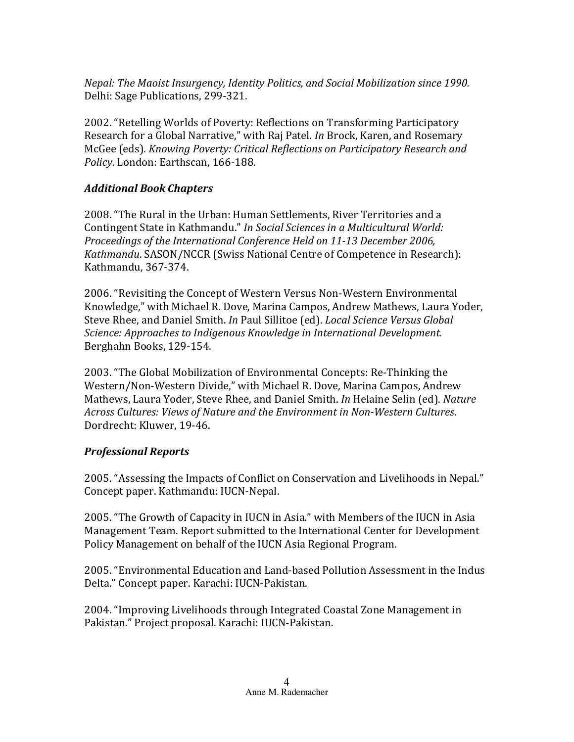*Nepal: The Maoist Insurgency, Identity Politics, and Social Mobilization since 1990.* Delhi: Sage Publications, 299-321.

2002. "Retelling Worlds of Poverty: Reflections on Transforming Participatory Research for a Global Narrative," with Raj Patel. *In* Brock, Karen, and Rosemary McGee (eds). *Knowing Poverty: Critical Reflections on Participatory Research and* Policy. London: Earthscan, 166-188.

#### *Additional Book Chapters*

2008. "The Rural in the Urban: Human Settlements, River Territories and a Contingent State in Kathmandu." *In Social Sciences in a Multicultural World:* Proceedings of the International Conference Held on 11-13 December 2006, *Kathmandu*. SASON/NCCR (Swiss National Centre of Competence in Research): Kathmandu, 367-374.

2006. "Revisiting the Concept of Western Versus Non-Western Environmental Knowledge," with Michael R. Dove, Marina Campos, Andrew Mathews, Laura Yoder, Steve Rhee, and Daniel Smith. *In* Paul Sillitoe (ed). *Local Science Versus Global Science: Approaches to Indigenous Knowledge in International Development.* Berghahn Books, 129-154.

2003. "The Global Mobilization of Environmental Concepts: Re-Thinking the Western/Non-Western Divide," with Michael R. Dove, Marina Campos, Andrew Mathews, Laura Yoder, Steve Rhee, and Daniel Smith. *In* Helaine Selin (ed). *Nature* Across Cultures: Views of Nature and the Environment in Non-Western Cultures. Dordrecht: Kluwer, 19-46.

## *Professional Reports*

2005. "Assessing the Impacts of Conflict on Conservation and Livelihoods in Nepal." Concept paper. Kathmandu: IUCN-Nepal.

2005. "The Growth of Capacity in IUCN in Asia." with Members of the IUCN in Asia Management Team. Report submitted to the International Center for Development Policy Management on behalf of the IUCN Asia Regional Program.

2005. "Environmental Education and Land-based Pollution Assessment in the Indus Delta." Concept paper. Karachi: IUCN-Pakistan.

2004. "Improving Livelihoods through Integrated Coastal Zone Management in Pakistan." Project proposal. Karachi: IUCN-Pakistan.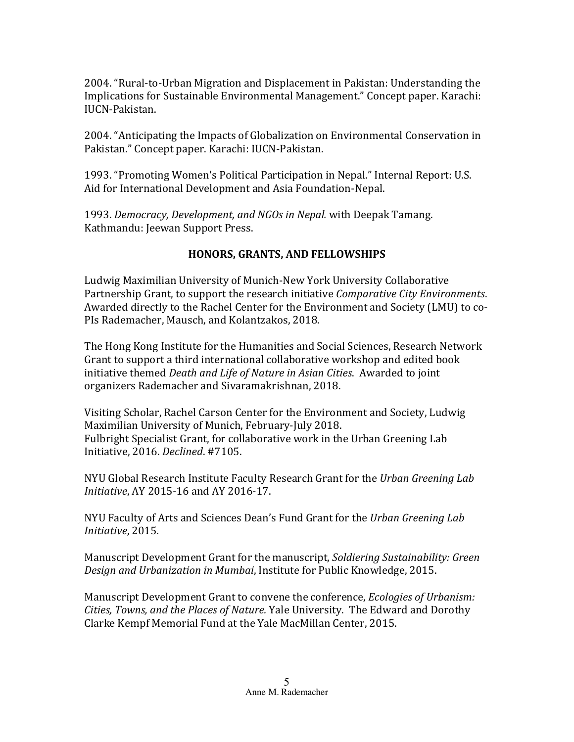2004. "Rural-to-Urban Migration and Displacement in Pakistan: Understanding the Implications for Sustainable Environmental Management." Concept paper. Karachi: IUCN-Pakistan.

2004. "Anticipating the Impacts of Globalization on Environmental Conservation in Pakistan." Concept paper. Karachi: IUCN-Pakistan.

1993. "Promoting Women's Political Participation in Nepal." Internal Report: U.S. Aid for International Development and Asia Foundation-Nepal.

1993. *Democracy, Development, and NGOs in Nepal.* with Deepak Tamang. Kathmandu: Jeewan Support Press.

# **HONORS, GRANTS, AND FELLOWSHIPS**

Ludwig Maximilian University of Munich-New York University Collaborative Partnership Grant, to support the research initiative *Comparative City Environments*. Awarded directly to the Rachel Center for the Environment and Society (LMU) to co-PIs Rademacher, Mausch, and Kolantzakos, 2018.

The Hong Kong Institute for the Humanities and Social Sciences, Research Network Grant to support a third international collaborative workshop and edited book initiative themed *Death and Life of Nature in Asian Cities*. Awarded to joint organizers Rademacher and Sivaramakrishnan, 2018.

Visiting Scholar, Rachel Carson Center for the Environment and Society, Ludwig Maximilian University of Munich, February-July 2018. Fulbright Specialist Grant, for collaborative work in the Urban Greening Lab Initiative, 2016. *Declined*. #7105.

NYU Global Research Institute Faculty Research Grant for the Urban Greening Lab *Initiative*, AY 2015-16 and AY 2016-17.

NYU Faculty of Arts and Sciences Dean's Fund Grant for the Urban Greening Lab *Initiative*, 2015*.*

Manuscript Development Grant for the manuscript, *Soldiering Sustainability: Green Design and Urbanization in Mumbai*, Institute for Public Knowledge, 2015.

Manuscript Development Grant to convene the conference, *Ecologies of Urbanism: Cities, Towns, and the Places of Nature.* Yale University. The Edward and Dorothy Clarke Kempf Memorial Fund at the Yale MacMillan Center, 2015.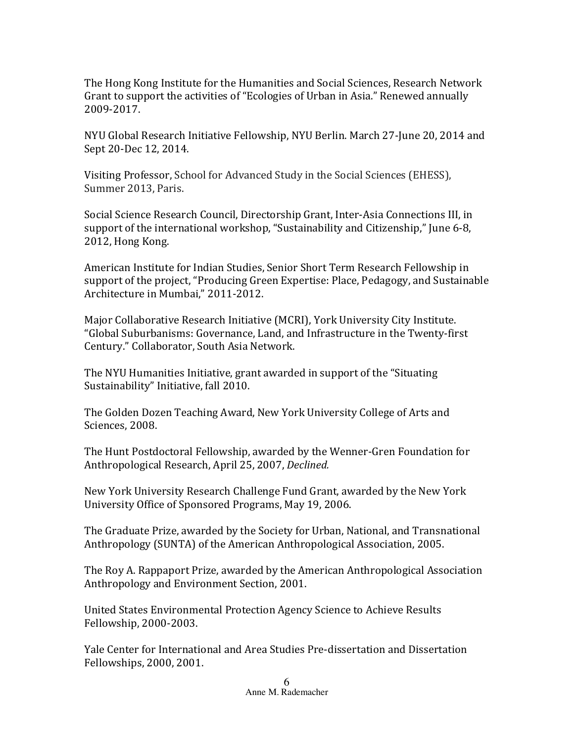The Hong Kong Institute for the Humanities and Social Sciences, Research Network Grant to support the activities of "Ecologies of Urban in Asia." Renewed annually 2009-2017.

NYU Global Research Initiative Fellowship, NYU Berlin. March 27-June 20, 2014 and Sept 20-Dec 12, 2014.

Visiting Professor, School for Advanced Study in the Social Sciences (EHESS), Summer 2013, Paris.

Social Science Research Council, Directorship Grant, Inter-Asia Connections III, in support of the international workshop, "Sustainability and Citizenship," June 6-8, 2012, Hong Kong.

American Institute for Indian Studies, Senior Short Term Research Fellowship in support of the project, "Producing Green Expertise: Place, Pedagogy, and Sustainable Architecture in Mumbai," 2011-2012.

Major Collaborative Research Initiative (MCRI), York University City Institute. "Global Suburbanisms: Governance, Land, and Infrastructure in the Twenty-first Century." Collaborator, South Asia Network.

The NYU Humanities Initiative, grant awarded in support of the "Situating" Sustainability" Initiative, fall 2010.

The Golden Dozen Teaching Award, New York University College of Arts and Sciences, 2008.

The Hunt Postdoctoral Fellowship, awarded by the Wenner-Gren Foundation for Anthropological Research, April 25, 2007, *Declined.*

New York University Research Challenge Fund Grant, awarded by the New York University Office of Sponsored Programs, May 19, 2006.

The Graduate Prize, awarded by the Society for Urban, National, and Transnational Anthropology (SUNTA) of the American Anthropological Association, 2005.

The Roy A. Rappaport Prize, awarded by the American Anthropological Association Anthropology and Environment Section, 2001.

United States Environmental Protection Agency Science to Achieve Results Fellowship, 2000-2003.

Yale Center for International and Area Studies Pre-dissertation and Dissertation Fellowships, 2000, 2001.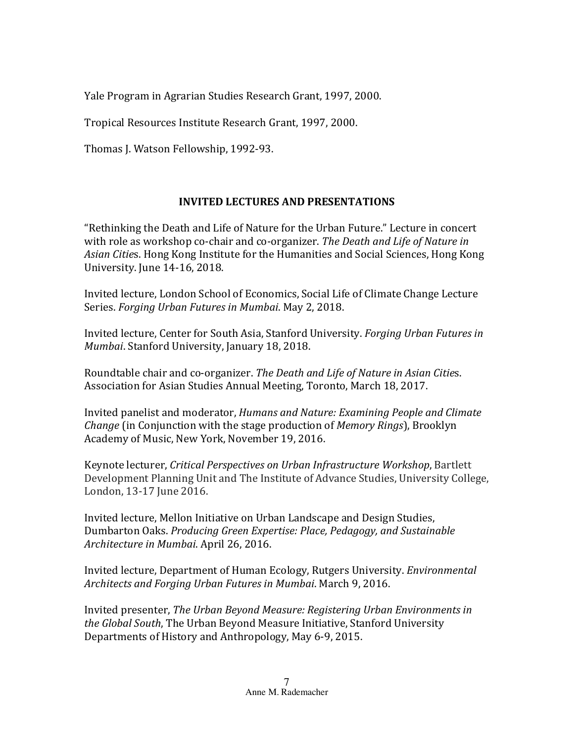Yale Program in Agrarian Studies Research Grant, 1997, 2000.

Tropical Resources Institute Research Grant, 1997, 2000.

Thomas J. Watson Fellowship, 1992-93.

# **INVITED LECTURES AND PRESENTATIONS**

"Rethinking the Death and Life of Nature for the Urban Future." Lecture in concert with role as workshop co-chair and co-organizer. *The Death and Life of Nature in* Asian *Cities*. Hong Kong Institute for the Humanities and Social Sciences, Hong Kong University. June 14-16, 2018.

Invited lecture, London School of Economics, Social Life of Climate Change Lecture Series. *Forging Urban Futures in Mumbai*. May 2, 2018.

Invited lecture, Center for South Asia, Stanford University. *Forging Urban Futures in Mumbai*. Stanford University, January 18, 2018.

Roundtable chair and co-organizer. The Death and Life of Nature in Asian Cities. Association for Asian Studies Annual Meeting, Toronto, March 18, 2017.

Invited panelist and moderator, *Humans and Nature: Examining People and Climate Change* (in Conjunction with the stage production of *Memory Rings*), Brooklyn Academy of Music, New York, November 19, 2016.

Keynote lecturer, *Critical Perspectives on Urban Infrastructure Workshop*, Bartlett Development Planning Unit and The Institute of Advance Studies, University College, London, 13-17 June 2016.

Invited lecture, Mellon Initiative on Urban Landscape and Design Studies, Dumbarton Oaks. *Producing Green Expertise: Place, Pedagogy, and Sustainable* Architecture in Mumbai. April 26, 2016.

Invited lecture, Department of Human Ecology, Rutgers University. *Environmental Architects and Forging Urban Futures in Mumbai*. March 9, 2016.

Invited presenter, *The Urban Beyond Measure: Registering Urban Environments in* the Global South, The Urban Beyond Measure Initiative, Stanford University Departments of History and Anthropology, May 6-9, 2015.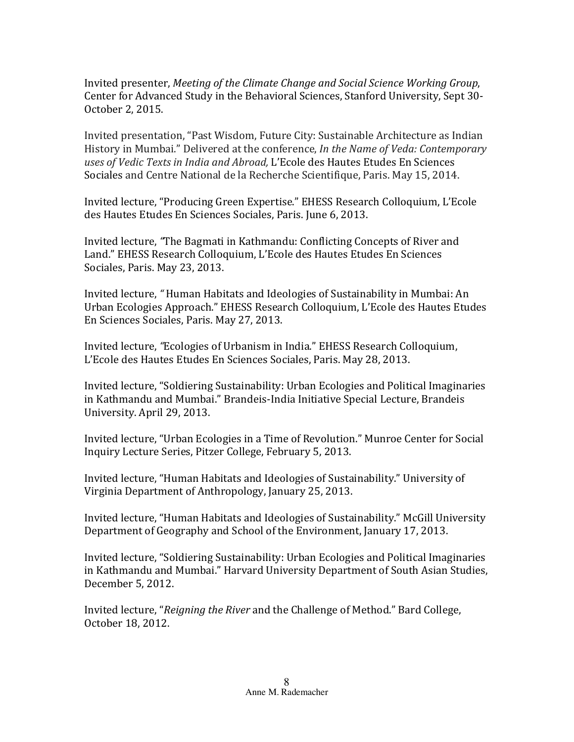Invited presenter, *Meeting of the Climate Change and Social Science Working Group*, Center for Advanced Study in the Behavioral Sciences, Stanford University, Sept 30-October 2, 2015.

Invited presentation, "Past Wisdom, Future City: Sustainable Architecture as Indian History in Mumbai." Delivered at the conference, *In the Name of Veda: Contemporary* uses of Vedic Texts in India and Abroad, L'Ecole des Hautes Etudes En Sciences Sociales and Centre National de la Recherche Scientifique, Paris. May 15, 2014.

Invited lecture, "Producing Green Expertise." EHESS Research Colloquium, L'Ecole des Hautes Etudes En Sciences Sociales, Paris. June 6, 2013.

Invited lecture, "The Bagmati in Kathmandu: Conflicting Concepts of River and Land." EHESS Research Colloquium, L'Ecole des Hautes Etudes En Sciences Sociales, Paris. May 23, 2013.

Invited lecture, "Human Habitats and Ideologies of Sustainability in Mumbai: An Urban Ecologies Approach." EHESS Research Colloquium, L'Ecole des Hautes Etudes En Sciences Sociales, Paris. May 27, 2013.

Invited lecture, "Ecologies of Urbanism in India." EHESS Research Colloquium, L'Ecole des Hautes Etudes En Sciences Sociales, Paris. May 28, 2013.

Invited lecture, "Soldiering Sustainability: Urban Ecologies and Political Imaginaries in Kathmandu and Mumbai." Brandeis-India Initiative Special Lecture, Brandeis University. April 29, 2013.

Invited lecture, "Urban Ecologies in a Time of Revolution." Munroe Center for Social Inquiry Lecture Series, Pitzer College, February 5, 2013.

Invited lecture, "Human Habitats and Ideologies of Sustainability." University of Virginia Department of Anthropology, January 25, 2013.

Invited lecture, "Human Habitats and Ideologies of Sustainability." McGill University Department of Geography and School of the Environment, January 17, 2013.

Invited lecture, "Soldiering Sustainability: Urban Ecologies and Political Imaginaries in Kathmandu and Mumbai." Harvard University Department of South Asian Studies, December 5, 2012.

Invited lecture, "*Reigning the River* and the Challenge of Method." Bard College, October 18, 2012.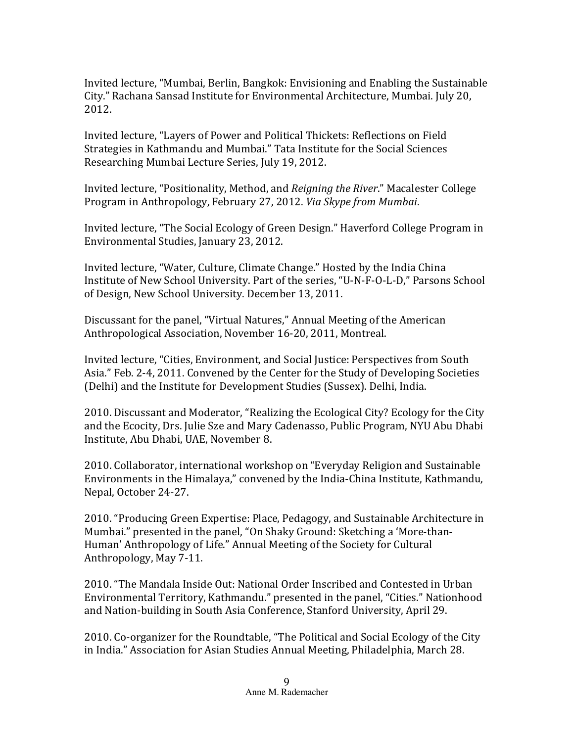Invited lecture, "Mumbai, Berlin, Bangkok: Envisioning and Enabling the Sustainable City." Rachana Sansad Institute for Environmental Architecture, Mumbai. July 20, 2012. 

Invited lecture, "Layers of Power and Political Thickets: Reflections on Field Strategies in Kathmandu and Mumbai." Tata Institute for the Social Sciences Researching Mumbai Lecture Series, July 19, 2012.

Invited lecture, "Positionality, Method, and *Reigning the River*." Macalester College Program in Anthropology, February 27, 2012. *Via Skype from Mumbai*.

Invited lecture, "The Social Ecology of Green Design." Haverford College Program in Environmental Studies, January 23, 2012.

Invited lecture, "Water, Culture, Climate Change." Hosted by the India China Institute of New School University. Part of the series, "U-N-F-O-L-D," Parsons School of Design, New School University. December 13, 2011.

Discussant for the panel, "Virtual Natures," Annual Meeting of the American Anthropological Association, November 16-20, 2011, Montreal.

Invited lecture, "Cities, Environment, and Social Justice: Perspectives from South Asia." Feb. 2-4, 2011. Convened by the Center for the Study of Developing Societies (Delhi) and the Institute for Development Studies (Sussex). Delhi, India.

2010. Discussant and Moderator, "Realizing the Ecological City? Ecology for the City and the Ecocity, Drs. Julie Sze and Mary Cadenasso, Public Program, NYU Abu Dhabi Institute, Abu Dhabi, UAE, November 8.

2010. Collaborator, international workshop on "Everyday Religion and Sustainable Environments in the Himalaya," convened by the India-China Institute, Kathmandu, Nepal, October 24-27.

2010. "Producing Green Expertise: Place, Pedagogy, and Sustainable Architecture in Mumbai." presented in the panel, "On Shaky Ground: Sketching a 'More-than-Human' Anthropology of Life." Annual Meeting of the Society for Cultural Anthropology, May 7-11.

2010. "The Mandala Inside Out: National Order Inscribed and Contested in Urban Environmental Territory, Kathmandu." presented in the panel, "Cities." Nationhood and Nation-building in South Asia Conference, Stanford University, April 29.

2010. Co-organizer for the Roundtable, "The Political and Social Ecology of the City in India." Association for Asian Studies Annual Meeting, Philadelphia, March 28.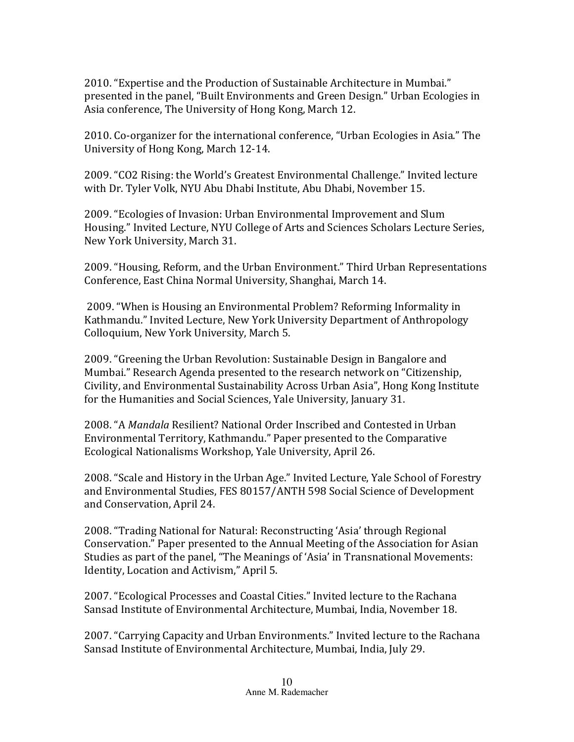2010. "Expertise and the Production of Sustainable Architecture in Mumbai." presented in the panel, "Built Environments and Green Design." Urban Ecologies in Asia conference, The University of Hong Kong, March 12.

2010. Co-organizer for the international conference, "Urban Ecologies in Asia." The University of Hong Kong, March 12-14.

2009. "CO2 Rising: the World's Greatest Environmental Challenge." Invited lecture with Dr. Tyler Volk, NYU Abu Dhabi Institute, Abu Dhabi, November 15.

2009. "Ecologies of Invasion: Urban Environmental Improvement and Slum Housing." Invited Lecture, NYU College of Arts and Sciences Scholars Lecture Series, New York University, March 31.

2009. "Housing, Reform, and the Urban Environment." Third Urban Representations Conference, East China Normal University, Shanghai, March 14.

2009. "When is Housing an Environmental Problem? Reforming Informality in Kathmandu." Invited Lecture, New York University Department of Anthropology Colloquium, New York University, March 5.

2009. "Greening the Urban Revolution: Sustainable Design in Bangalore and Mumbai." Research Agenda presented to the research network on "Citizenship, Civility, and Environmental Sustainability Across Urban Asia", Hong Kong Institute for the Humanities and Social Sciences, Yale University, January 31.

2008. "A *Mandala* Resilient? National Order Inscribed and Contested in Urban Environmental Territory, Kathmandu." Paper presented to the Comparative Ecological Nationalisms Workshop, Yale University, April 26.

2008. "Scale and History in the Urban Age." Invited Lecture, Yale School of Forestry and Environmental Studies, FES 80157/ANTH 598 Social Science of Development and Conservation, April 24.

2008. "Trading National for Natural: Reconstructing 'Asia' through Regional Conservation." Paper presented to the Annual Meeting of the Association for Asian Studies as part of the panel, "The Meanings of 'Asia' in Transnational Movements: Identity, Location and Activism," April 5.

2007. "Ecological Processes and Coastal Cities." Invited lecture to the Rachana Sansad Institute of Environmental Architecture, Mumbai, India, November 18.

2007. "Carrying Capacity and Urban Environments." Invited lecture to the Rachana Sansad Institute of Environmental Architecture, Mumbai, India, July 29.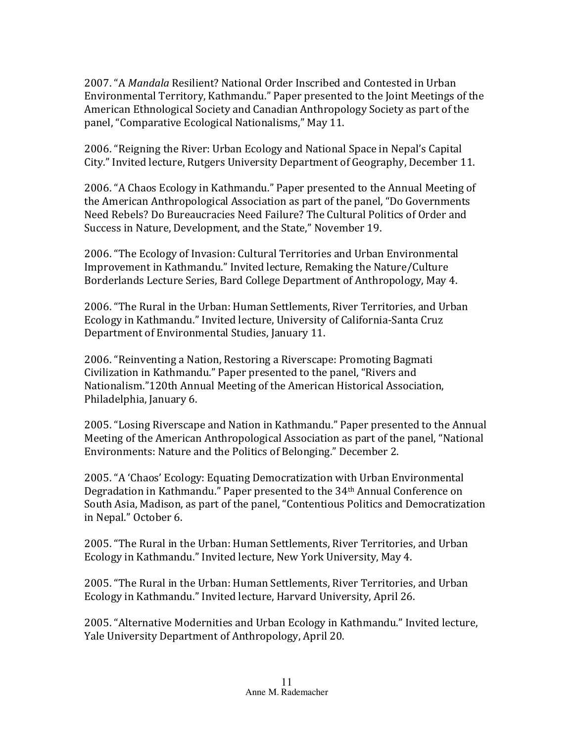2007. "A *Mandala* Resilient? National Order Inscribed and Contested in Urban Environmental Territory, Kathmandu." Paper presented to the Joint Meetings of the American Ethnological Society and Canadian Anthropology Society as part of the panel, "Comparative Ecological Nationalisms," May 11.

2006. "Reigning the River: Urban Ecology and National Space in Nepal's Capital City." Invited lecture, Rutgers University Department of Geography, December 11.

2006. "A Chaos Ecology in Kathmandu." Paper presented to the Annual Meeting of the American Anthropological Association as part of the panel, "Do Governments Need Rebels? Do Bureaucracies Need Failure? The Cultural Politics of Order and Success in Nature, Development, and the State," November 19.

2006. "The Ecology of Invasion: Cultural Territories and Urban Environmental Improvement in Kathmandu." Invited lecture, Remaking the Nature/Culture Borderlands Lecture Series, Bard College Department of Anthropology, May 4.

2006. "The Rural in the Urban: Human Settlements, River Territories, and Urban Ecology in Kathmandu." Invited lecture, University of California-Santa Cruz Department of Environmental Studies, January 11.

2006. "Reinventing a Nation, Restoring a Riverscape: Promoting Bagmati Civilization in Kathmandu." Paper presented to the panel, "Rivers and Nationalism."120th Annual Meeting of the American Historical Association, Philadelphia, January 6.

2005. "Losing Riverscape and Nation in Kathmandu." Paper presented to the Annual Meeting of the American Anthropological Association as part of the panel, "National Environments: Nature and the Politics of Belonging." December 2.

2005. "A 'Chaos' Ecology: Equating Democratization with Urban Environmental Degradation in Kathmandu." Paper presented to the 34<sup>th</sup> Annual Conference on South Asia, Madison, as part of the panel, "Contentious Politics and Democratization in Nepal." October 6.

2005. "The Rural in the Urban: Human Settlements, River Territories, and Urban Ecology in Kathmandu." Invited lecture, New York University, May 4.

2005. "The Rural in the Urban: Human Settlements, River Territories, and Urban Ecology in Kathmandu." Invited lecture, Harvard University, April 26.

2005. "Alternative Modernities and Urban Ecology in Kathmandu." Invited lecture, Yale University Department of Anthropology, April 20.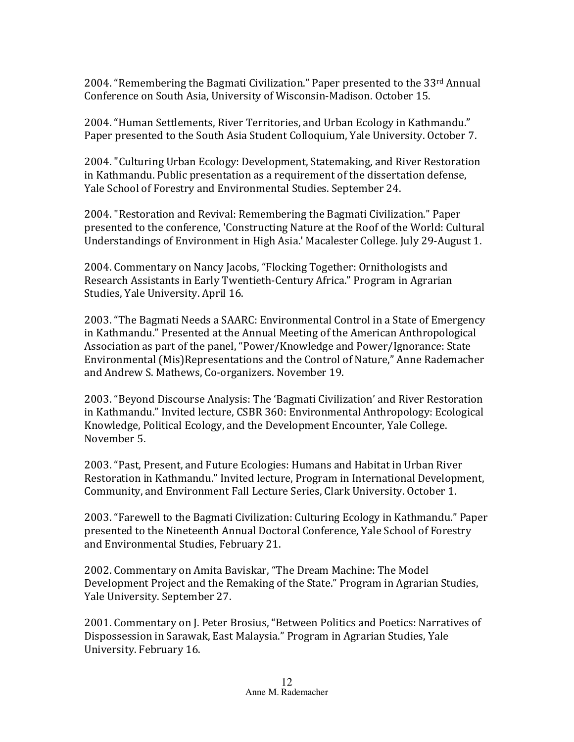2004. "Remembering the Bagmati Civilization." Paper presented to the  $33<sup>rd</sup>$  Annual Conference on South Asia, University of Wisconsin-Madison. October 15.

2004. "Human Settlements, River Territories, and Urban Ecology in Kathmandu." Paper presented to the South Asia Student Colloquium, Yale University. October 7.

2004. "Culturing Urban Ecology: Development, Statemaking, and River Restoration in Kathmandu. Public presentation as a requirement of the dissertation defense, Yale School of Forestry and Environmental Studies. September 24.

2004. "Restoration and Revival: Remembering the Bagmati Civilization." Paper presented to the conference, 'Constructing Nature at the Roof of the World: Cultural Understandings of Environment in High Asia.' Macalester College. July 29-August 1.

2004. Commentary on Nancy Jacobs, "Flocking Together: Ornithologists and Research Assistants in Early Twentieth-Century Africa." Program in Agrarian Studies, Yale University. April 16.

2003. "The Bagmati Needs a SAARC: Environmental Control in a State of Emergency in Kathmandu." Presented at the Annual Meeting of the American Anthropological Association as part of the panel, "Power/Knowledge and Power/Ignorance: State Environmental (Mis)Representations and the Control of Nature," Anne Rademacher and Andrew S. Mathews, Co-organizers. November 19.

2003. "Beyond Discourse Analysis: The 'Bagmati Civilization' and River Restoration in Kathmandu." Invited lecture, CSBR 360: Environmental Anthropology: Ecological Knowledge, Political Ecology, and the Development Encounter, Yale College. November 5.

2003. "Past, Present, and Future Ecologies: Humans and Habitat in Urban River Restoration in Kathmandu." Invited lecture, Program in International Development, Community, and Environment Fall Lecture Series, Clark University. October 1.

2003. "Farewell to the Bagmati Civilization: Culturing Ecology in Kathmandu." Paper presented to the Nineteenth Annual Doctoral Conference, Yale School of Forestry and Environmental Studies, February 21.

2002. Commentary on Amita Baviskar, "The Dream Machine: The Model Development Project and the Remaking of the State." Program in Agrarian Studies, Yale University. September 27.

2001. Commentary on J. Peter Brosius, "Between Politics and Poetics: Narratives of Dispossession in Sarawak, East Malaysia." Program in Agrarian Studies, Yale University. February 16.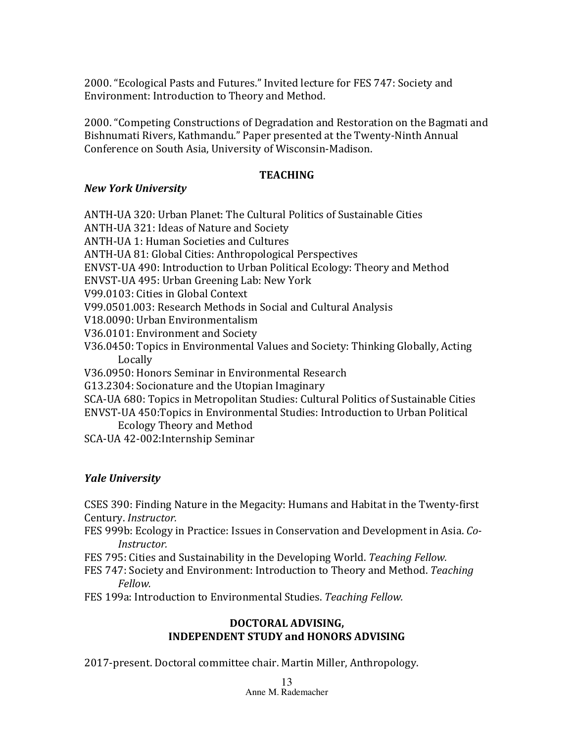2000. "Ecological Pasts and Futures." Invited lecture for FES 747: Society and Environment: Introduction to Theory and Method.

2000. "Competing Constructions of Degradation and Restoration on the Bagmati and Bishnumati Rivers, Kathmandu." Paper presented at the Twenty-Ninth Annual Conference on South Asia, University of Wisconsin-Madison.

#### **TEACHING**

#### *New York University*

ANTH-UA 320: Urban Planet: The Cultural Politics of Sustainable Cities ANTH-UA 321: Ideas of Nature and Society ANTH-UA 1: Human Societies and Cultures ANTH-UA 81: Global Cities: Anthropological Perspectives ENVST-UA 490: Introduction to Urban Political Ecology: Theory and Method ENVST-UA 495: Urban Greening Lab: New York V99.0103: Cities in Global Context V99.0501.003: Research Methods in Social and Cultural Analysis V18.0090: Urban Environmentalism V36.0101: Environment and Society V36.0450: Topics in Environmental Values and Society: Thinking Globally, Acting Locally V36.0950: Honors Seminar in Environmental Research G13.2304: Socionature and the Utopian Imaginary SCA-UA 680: Topics in Metropolitan Studies: Cultural Politics of Sustainable Cities ENVST-UA 450:Topics in Environmental Studies: Introduction to Urban Political Ecology Theory and Method SCA-UA 42-002: Internship Seminar

## *Yale University*

CSES 390: Finding Nature in the Megacity: Humans and Habitat in the Twenty-first Century. *Instructor.*

- FES 999b: Ecology in Practice: Issues in Conservation and Development in Asia. *Co-Instructor.*
- FES 795: Cities and Sustainability in the Developing World. *Teaching Fellow.*
- FES 747: Society and Environment: Introduction to Theory and Method. *Teaching Fellow.*
- FES 199a: Introduction to Environmental Studies. Teaching Fellow.

#### **DOCTORAL ADVISING, INDEPENDENT STUDY and HONORS ADVISING**

2017-present. Doctoral committee chair. Martin Miller, Anthropology.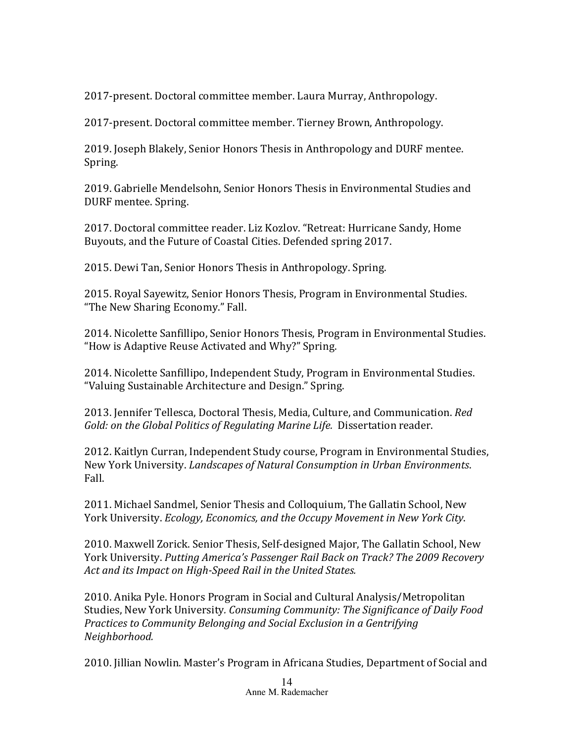2017-present. Doctoral committee member. Laura Murray, Anthropology.

2017-present. Doctoral committee member. Tierney Brown, Anthropology.

2019. Joseph Blakely, Senior Honors Thesis in Anthropology and DURF mentee. Spring. 

2019. Gabrielle Mendelsohn, Senior Honors Thesis in Environmental Studies and DURF mentee. Spring.

2017. Doctoral committee reader. Liz Kozlov. "Retreat: Hurricane Sandy, Home Buyouts, and the Future of Coastal Cities. Defended spring 2017.

2015. Dewi Tan, Senior Honors Thesis in Anthropology. Spring.

2015. Royal Sayewitz, Senior Honors Thesis, Program in Environmental Studies. "The New Sharing Economy." Fall.

2014. Nicolette Sanfillipo, Senior Honors Thesis, Program in Environmental Studies. "How is Adaptive Reuse Activated and Why?" Spring.

2014. Nicolette Sanfillipo, Independent Study, Program in Environmental Studies. "Valuing Sustainable Architecture and Design." Spring.

2013. Jennifer Tellesca, Doctoral Thesis, Media, Culture, and Communication. *Red Gold:* on the *Global Politics of Regulating Marine Life.* Dissertation reader.

2012. Kaitlyn Curran, Independent Study course, Program in Environmental Studies, New York University. *Landscapes of Natural Consumption in Urban Environments.* Fall.

2011. Michael Sandmel, Senior Thesis and Colloquium, The Gallatin School, New York University. *Ecology, Economics, and the Occupy Movement in New York City.* 

2010. Maxwell Zorick. Senior Thesis, Self-designed Major, The Gallatin School, New York University. Putting America's Passenger Rail Back on Track? The 2009 Recovery Act and its Impact on High-Speed Rail in the United States.

2010. Anika Pyle. Honors Program in Social and Cultural Analysis/Metropolitan Studies, New York University. *Consuming Community: The Significance of Daily Food Practices to Community Belonging and Social Exclusion in a Gentrifying Neighborhood.*

2010. Jillian Nowlin. Master's Program in Africana Studies, Department of Social and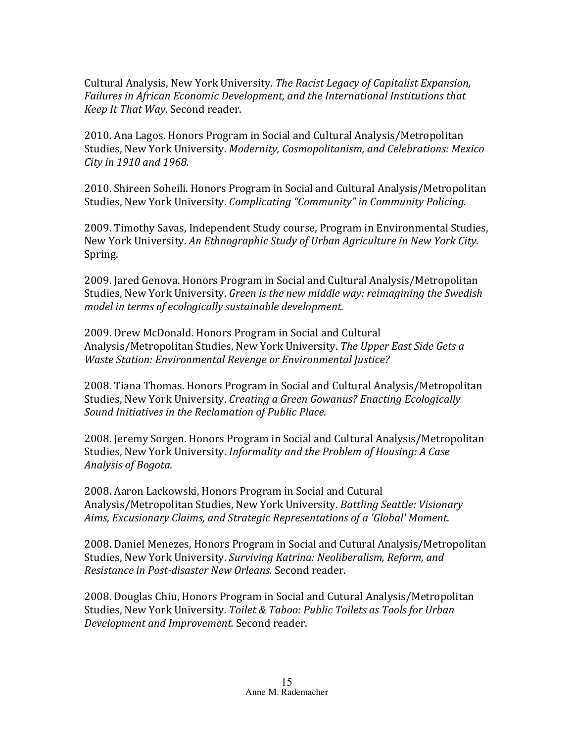Cultural Analysis, New York University. The Racist Legacy of Capitalist Expansion, Failures in African *Economic Development, and the International Institutions that Keep It That Way.* Second reader.

2010. Ana Lagos. Honors Program in Social and Cultural Analysis/Metropolitan Studies, New York University. Modernity, Cosmopolitanism, and Celebrations: Mexico *City* in 1910 and 1968.

2010. Shireen Soheili. Honors Program in Social and Cultural Analysis/Metropolitan Studies, New York University. *Complicating* "Community" in Community Policing.

2009. Timothy Savas, Independent Study course, Program in Environmental Studies, New York University. An Ethnographic Study of Urban Agriculture in New York City. Spring.

2009. Jared Genova. Honors Program in Social and Cultural Analysis/Metropolitan Studies, New York University. *Green is the new middle way: reimagining the Swedish* model in terms of ecologically sustainable development.

2009. Drew McDonald. Honors Program in Social and Cultural Analysis/Metropolitan Studies, New York University. The Upper East Side Gets a *Waste Station: Environmental Revenge or Environmental Justice?* 

2008. Tiana Thomas. Honors Program in Social and Cultural Analysis/Metropolitan Studies, New York University. *Creating a Green Gowanus? Enacting Ecologically* Sound Initiatives in the Reclamation of Public Place.

2008. Jeremy Sorgen. Honors Program in Social and Cultural Analysis/Metropolitan Studies, New York University. *Informality and the Problem of Housing: A Case Analysis of Bogota.*

2008. Aaron Lackowski, Honors Program in Social and Cutural Analysis/Metropolitan Studies, New York University. *Battling Seattle: Visionary*  Aims, Excusionary Claims, and Strategic Representations of a 'Global' Moment.

2008. Daniel Menezes, Honors Program in Social and Cutural Analysis/Metropolitan Studies, New York University. Surviving Katrina: Neoliberalism, Reform, and *Resistance in Post-disaster New Orleans.* Second reader.

2008. Douglas Chiu, Honors Program in Social and Cutural Analysis/Metropolitan Studies, New York University. *Toilet & Taboo: Public Toilets as Tools for Urban* **Development and Improvement.** Second reader.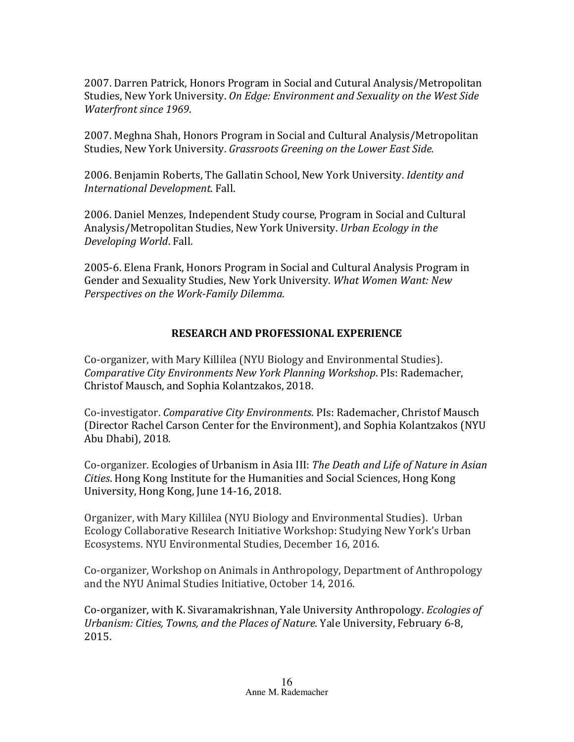2007. Darren Patrick, Honors Program in Social and Cutural Analysis/Metropolitan Studies, New York University. On Edge: Environment and Sexuality on the West Side *Waterfront since 1969.* 

2007. Meghna Shah, Honors Program in Social and Cultural Analysis/Metropolitan Studies, New York University. *Grassroots Greening on the Lower East Side.* 

2006. Benjamin Roberts, The Gallatin School, New York University. *Identity and International Development*. Fall. 

2006. Daniel Menzes, Independent Study course, Program in Social and Cultural Analysis/Metropolitan Studies, New York University. *Urban Ecology in the Developing World*. Fall. 

2005-6. Elena Frank, Honors Program in Social and Cultural Analysis Program in Gender and Sexuality Studies, New York University. What Women Want: New *Perspectives on the Work-Family Dilemma.* 

## **RESEARCH AND PROFESSIONAL EXPERIENCE**

Co-organizer, with Mary Killilea (NYU Biology and Environmental Studies). *Comparative City Environments New York Planning Workshop.* PIs: Rademacher, Christof Mausch, and Sophia Kolantzakos, 2018.

Co-investigator. *Comparative City Environments*. PIs: Rademacher, Christof Mausch (Director Rachel Carson Center for the Environment), and Sophia Kolantzakos (NYU Abu Dhabi), 2018.

Co-organizer. Ecologies of Urbanism in Asia III: *The Death and Life of Nature in Asian Cities*. Hong Kong Institute for the Humanities and Social Sciences, Hong Kong University, Hong Kong, June 14-16, 2018.

Organizer, with Mary Killilea (NYU Biology and Environmental Studies). Urban Ecology Collaborative Research Initiative Workshop: Studying New York's Urban Ecosystems. NYU Environmental Studies, December 16, 2016.

Co-organizer, Workshop on Animals in Anthropology, Department of Anthropology and the NYU Animal Studies Initiative, October 14, 2016.

Co-organizer, with K. Sivaramakrishnan, Yale University Anthropology. *Ecologies of Urbanism: Cities, Towns, and the Places of Nature. Yale University, February 6-8,* 2015.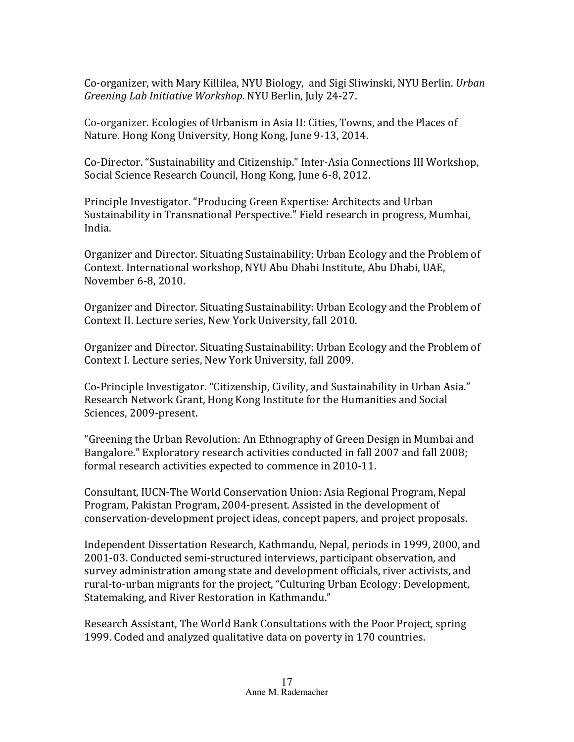Co-organizer, with Mary Killilea, NYU Biology, and Sigi Sliwinski, NYU Berlin. *Urban Greening Lab Initiative Workshop.* NYU Berlin, July 24-27.

Co-organizer. Ecologies of Urbanism in Asia II: Cities, Towns, and the Places of Nature. Hong Kong University, Hong Kong, June 9-13, 2014.

Co-Director. "Sustainability and Citizenship." Inter-Asia Connections III Workshop, Social Science Research Council, Hong Kong, June 6-8, 2012.

Principle Investigator. "Producing Green Expertise: Architects and Urban Sustainability in Transnational Perspective." Field research in progress, Mumbai, India. 

Organizer and Director. Situating Sustainability: Urban Ecology and the Problem of Context. International workshop, NYU Abu Dhabi Institute, Abu Dhabi, UAE, November 6-8, 2010.

Organizer and Director. Situating Sustainability: Urban Ecology and the Problem of Context II. Lecture series, New York University, fall 2010.

Organizer and Director. Situating Sustainability: Urban Ecology and the Problem of Context I. Lecture series, New York University, fall 2009.

Co-Principle Investigator. "Citizenship, Civility, and Sustainability in Urban Asia." Research Network Grant, Hong Kong Institute for the Humanities and Social Sciences, 2009-present.

"Greening the Urban Revolution: An Ethnography of Green Design in Mumbai and Bangalore." Exploratory research activities conducted in fall 2007 and fall 2008; formal research activities expected to commence in 2010-11.

Consultant, IUCN-The World Conservation Union: Asia Regional Program, Nepal Program, Pakistan Program, 2004-present. Assisted in the development of conservation-development project ideas, concept papers, and project proposals.

Independent Dissertation Research, Kathmandu, Nepal, periods in 1999, 2000, and 2001-03. Conducted semi-structured interviews, participant observation, and survey administration among state and development officials, river activists, and rural-to-urban migrants for the project, "Culturing Urban Ecology: Development, Statemaking, and River Restoration in Kathmandu."

Research Assistant, The World Bank Consultations with the Poor Project, spring 1999. Coded and analyzed qualitative data on poverty in 170 countries.